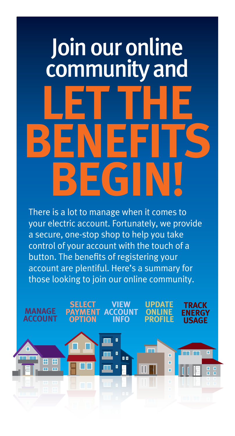# **LET THE BENEFITS BEGIN!** Join our online community and

There is a lot to manage when it comes to your electric account. Fortunately, we provide a secure, one-stop shop to help you take control of your account with the touch of a button. The benefits of registering your account are plentiful. Here's a summary for those looking to join our online community.

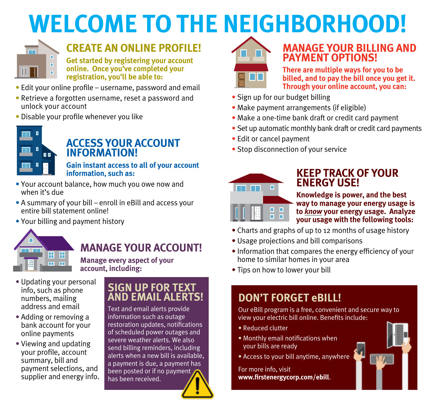# **WELCOME TO THE NEIGHBORHOOD!**



## **CREATE AN ONLINE PROFILE!**

**Get started by registering your account online. Once you've completed your registration, you'll be able to:**

- Edit your online profile username, password and email
- Retrieve a forgotten username, reset a password and unlock your account
- Disable your profile whenever you like



# **ACCESS YOUR ACCOUNT**

**INFORMATION!**<br> **INFORMATION!**<br> **Gain instant access to all of your account information, such as:**

- Your account balance, how much you owe now and when it's due
- A summary of your bill enroll in eBill and access your entire bill statement online!
- Your billing and payment history



### **MANAGE YOUR ACCOUNT!**

**Manage every aspect of your account, including:**

- Updating your personal info, such as phone numbers, mailing address and email
- Adding or removing a bank account for your online payments
- Viewing and updating your profile, account summary, bill and payment selections, and supplier and energy info.

#### **SIGN UP FOR TEXT AND EMAIL ALERTS!**

Text and email alerts provide information such as outage restoration updates, notifications of scheduled power outages and severe weather alerts. We also send billing reminders, including alerts when a new bill is available, a payment is due, a payment has been posted or if no payment has been received.



#### **MANAGE YOUR BILLING AND PAYMENT OPTIONS!**

 **There are multiple ways for you to be billed, and to pay the bill once you get it. Through your online account, you can:**

- Sign up for our budget billing
- Make payment arrangements (if eligible)
- Make a one-time bank draft or credit card payment
- Set up automatic monthly bank draft or credit card payments
- Edit or cancel payment
- Stop disconnection of your service



## **KEEP TRACK OF YOUR**

**ENERGY USE:**<br>Knowledge is power, and the best **way to manage your energy usage is to** *know* **your energy usage. Analyze your usage with the following tools:**

- Charts and graphs of up to 12 months of usage history
- Usage projections and bill comparisons
- Information that compares the energy efficiency of your home to similar homes in your area
- Tips on how to lower your bill

#### **DON'T FORGET eBILL!**

Our eBill program is a free, convenient and secure way to view your electric bill online. Benefits include:

- Reduced clutter
- Monthly email notifications when your bills are ready
- Access to your bill anytime, anywhere

For more info, visit **www.firstenergycorp.com/ebill**.